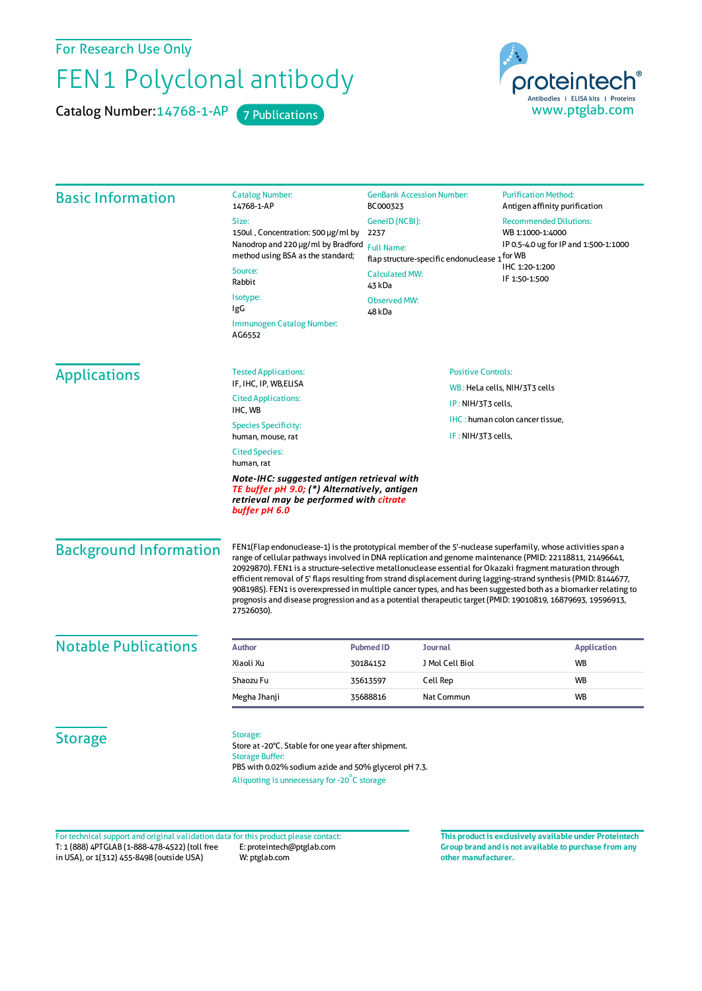For Research Use Only

## FEN1 Polyclonal antibody

Catalog Number: 14768-1-AP 7 Publications



| <b>Basic Information</b>      | <b>Catalog Number:</b><br>14768-1-AP                                                                                                                                                                                                                                                                                                                                                                                                                                                                                                                                                                                                                                                                         | <b>GenBank Accession Number:</b><br>BC000323<br>GenelD (NCBI):<br>2237<br><b>Full Name:</b><br>flap structure-specific endonuclease 1 <sup>for WB</sup><br><b>Calculated MW:</b> |  | <b>Purification Method:</b><br>Antigen affinity purification<br><b>Recommended Dilutions:</b><br>WB 1:1000-1:4000<br>IP 0.5-4.0 ug for IP and 1:500-1:1000<br>IHC 1:20-1:200 |
|-------------------------------|--------------------------------------------------------------------------------------------------------------------------------------------------------------------------------------------------------------------------------------------------------------------------------------------------------------------------------------------------------------------------------------------------------------------------------------------------------------------------------------------------------------------------------------------------------------------------------------------------------------------------------------------------------------------------------------------------------------|----------------------------------------------------------------------------------------------------------------------------------------------------------------------------------|--|------------------------------------------------------------------------------------------------------------------------------------------------------------------------------|
|                               | Size:                                                                                                                                                                                                                                                                                                                                                                                                                                                                                                                                                                                                                                                                                                        |                                                                                                                                                                                  |  |                                                                                                                                                                              |
|                               | 150ul, Concentration: 500 µg/ml by                                                                                                                                                                                                                                                                                                                                                                                                                                                                                                                                                                                                                                                                           |                                                                                                                                                                                  |  |                                                                                                                                                                              |
|                               | Nanodrop and 220 µg/ml by Bradford<br>method using BSA as the standard;                                                                                                                                                                                                                                                                                                                                                                                                                                                                                                                                                                                                                                      |                                                                                                                                                                                  |  |                                                                                                                                                                              |
|                               | Source:                                                                                                                                                                                                                                                                                                                                                                                                                                                                                                                                                                                                                                                                                                      |                                                                                                                                                                                  |  |                                                                                                                                                                              |
|                               | Rabbit                                                                                                                                                                                                                                                                                                                                                                                                                                                                                                                                                                                                                                                                                                       | 43 kDa                                                                                                                                                                           |  | IF 1:50-1:500                                                                                                                                                                |
|                               | Isotype:                                                                                                                                                                                                                                                                                                                                                                                                                                                                                                                                                                                                                                                                                                     | <b>Observed MW:</b>                                                                                                                                                              |  |                                                                                                                                                                              |
|                               | IgG                                                                                                                                                                                                                                                                                                                                                                                                                                                                                                                                                                                                                                                                                                          | 48 kDa                                                                                                                                                                           |  |                                                                                                                                                                              |
|                               | Immunogen Catalog Number:<br>AG6552                                                                                                                                                                                                                                                                                                                                                                                                                                                                                                                                                                                                                                                                          |                                                                                                                                                                                  |  |                                                                                                                                                                              |
| <b>Applications</b>           | <b>Tested Applications:</b>                                                                                                                                                                                                                                                                                                                                                                                                                                                                                                                                                                                                                                                                                  | <b>Positive Controls:</b><br>WB: HeLa cells, NIH/3T3 cells<br>IP: NIH/3T3 cells,<br>IHC: human colon cancer tissue,<br>IF: NIH/3T3 cells,                                        |  |                                                                                                                                                                              |
|                               | IF, IHC, IP, WB, ELISA                                                                                                                                                                                                                                                                                                                                                                                                                                                                                                                                                                                                                                                                                       |                                                                                                                                                                                  |  |                                                                                                                                                                              |
|                               | <b>Cited Applications:</b>                                                                                                                                                                                                                                                                                                                                                                                                                                                                                                                                                                                                                                                                                   |                                                                                                                                                                                  |  |                                                                                                                                                                              |
|                               | IHC, WB<br><b>Species Specificity:</b>                                                                                                                                                                                                                                                                                                                                                                                                                                                                                                                                                                                                                                                                       |                                                                                                                                                                                  |  |                                                                                                                                                                              |
|                               | human, mouse, rat                                                                                                                                                                                                                                                                                                                                                                                                                                                                                                                                                                                                                                                                                            |                                                                                                                                                                                  |  |                                                                                                                                                                              |
|                               | <b>Cited Species:</b>                                                                                                                                                                                                                                                                                                                                                                                                                                                                                                                                                                                                                                                                                        |                                                                                                                                                                                  |  |                                                                                                                                                                              |
|                               | human, rat                                                                                                                                                                                                                                                                                                                                                                                                                                                                                                                                                                                                                                                                                                   |                                                                                                                                                                                  |  |                                                                                                                                                                              |
|                               | Note-IHC: suggested antigen retrieval with<br>TE buffer pH 9.0; (*) Alternatively, antigen<br>retrieval may be performed with citrate<br>buffer pH 6.0                                                                                                                                                                                                                                                                                                                                                                                                                                                                                                                                                       |                                                                                                                                                                                  |  |                                                                                                                                                                              |
| <b>Background Information</b> | FEN1(Flap endonuclease-1) is the prototypical member of the 5'-nuclease superfamily, whose activities span a<br>range of cellular pathways involved in DNA replication and genome maintenance (PMID: 22118811, 21496641,<br>20929870). FEN1 is a structure-selective metallonuclease essential for Okazaki fragment maturation through<br>efficient removal of 5' flaps resulting from strand displacement during lagging-strand synthesis (PMID: 8144677,<br>9081985). FEN1 is overexpressed in multiple cancer types, and has been suggested both as a biomarker relating to<br>prognosis and disease progression and as a potential therapeutic target (PMID: 19010819, 16879693, 19596913,<br>27526030). |                                                                                                                                                                                  |  |                                                                                                                                                                              |
| <b>Notable Publications</b>   | <b>Author</b>                                                                                                                                                                                                                                                                                                                                                                                                                                                                                                                                                                                                                                                                                                | <b>Pubmed ID</b><br><b>Journal</b>                                                                                                                                               |  | <b>Application</b>                                                                                                                                                           |
|                               | Xiaoli Xu                                                                                                                                                                                                                                                                                                                                                                                                                                                                                                                                                                                                                                                                                                    | J Mol Cell Biol<br>30184152                                                                                                                                                      |  | WB                                                                                                                                                                           |
|                               | Shaozu Fu                                                                                                                                                                                                                                                                                                                                                                                                                                                                                                                                                                                                                                                                                                    | Cell Rep<br>35613597                                                                                                                                                             |  | WB                                                                                                                                                                           |
|                               | Megha Jhanji                                                                                                                                                                                                                                                                                                                                                                                                                                                                                                                                                                                                                                                                                                 | 35688816<br>Nat Commun                                                                                                                                                           |  | WB                                                                                                                                                                           |
| <b>Storage</b>                | Storage:<br>Store at -20°C. Stable for one year after shipment.<br><b>Storage Buffer:</b>                                                                                                                                                                                                                                                                                                                                                                                                                                                                                                                                                                                                                    |                                                                                                                                                                                  |  |                                                                                                                                                                              |

T: 1 (888) 4PTGLAB (1-888-478-4522) (toll free in USA), or 1(312) 455-8498 (outside USA) E: proteintech@ptglab.com W: ptglab.com Fortechnical support and original validation data forthis product please contact: **This productis exclusively available under Proteintech**

**Group brand and is not available to purchase from any other manufacturer.**